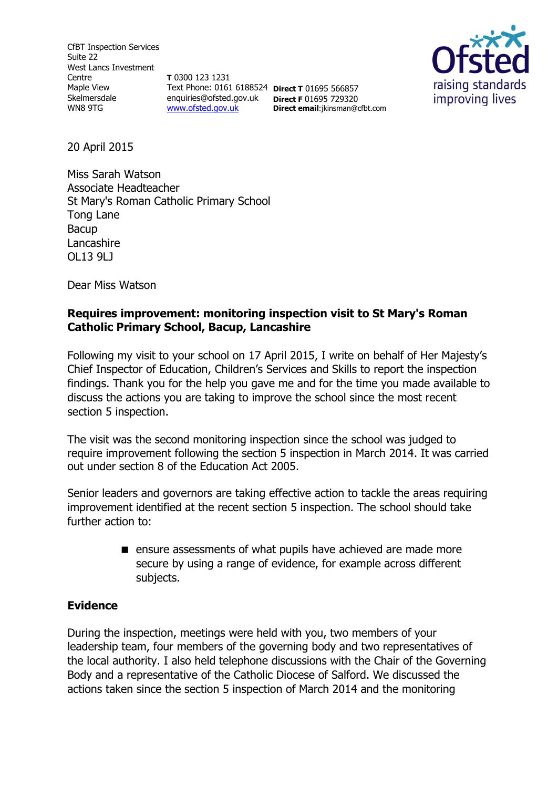CfBT Inspection Services Suite 22 West Lancs Investment Centre Maple View Skelmersdale WN8 9TG

**T** 0300 123 1231 Text Phone: 0161 6188524 **Direct T** 01695 566857 enquiries@ofsted.gov.uk **Direct F** 01695 729320 [www.ofsted.gov.uk](http://www.ofsted.gov.uk/)

**Direct email**:jkinsman@cfbt.com



20 April 2015

Miss Sarah Watson Associate Headteacher St Mary's Roman Catholic Primary School Tong Lane Bacup Lancashire OL13 9LJ

Dear Miss Watson

### **Requires improvement: monitoring inspection visit to St Mary's Roman Catholic Primary School, Bacup, Lancashire**

Following my visit to your school on 17 April 2015, I write on behalf of Her Majesty's Chief Inspector of Education, Children's Services and Skills to report the inspection findings. Thank you for the help you gave me and for the time you made available to discuss the actions you are taking to improve the school since the most recent section 5 inspection.

The visit was the second monitoring inspection since the school was judged to require improvement following the section 5 inspection in March 2014. It was carried out under section 8 of the Education Act 2005.

Senior leaders and governors are taking effective action to tackle the areas requiring improvement identified at the recent section 5 inspection. The school should take further action to:

> **E** ensure assessments of what pupils have achieved are made more secure by using a range of evidence, for example across different subjects.

### **Evidence**

During the inspection, meetings were held with you, two members of your leadership team, four members of the governing body and two representatives of the local authority. I also held telephone discussions with the Chair of the Governing Body and a representative of the Catholic Diocese of Salford. We discussed the actions taken since the section 5 inspection of March 2014 and the monitoring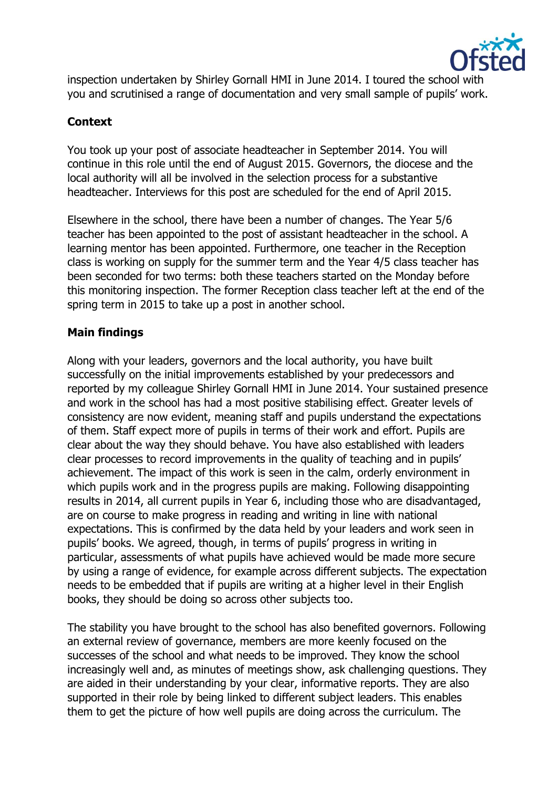

inspection undertaken by Shirley Gornall HMI in June 2014. I toured the school with you and scrutinised a range of documentation and very small sample of pupils' work.

# **Context**

You took up your post of associate headteacher in September 2014. You will continue in this role until the end of August 2015. Governors, the diocese and the local authority will all be involved in the selection process for a substantive headteacher. Interviews for this post are scheduled for the end of April 2015.

Elsewhere in the school, there have been a number of changes. The Year 5/6 teacher has been appointed to the post of assistant headteacher in the school. A learning mentor has been appointed. Furthermore, one teacher in the Reception class is working on supply for the summer term and the Year 4/5 class teacher has been seconded for two terms: both these teachers started on the Monday before this monitoring inspection. The former Reception class teacher left at the end of the spring term in 2015 to take up a post in another school.

### **Main findings**

Along with your leaders, governors and the local authority, you have built successfully on the initial improvements established by your predecessors and reported by my colleague Shirley Gornall HMI in June 2014. Your sustained presence and work in the school has had a most positive stabilising effect. Greater levels of consistency are now evident, meaning staff and pupils understand the expectations of them. Staff expect more of pupils in terms of their work and effort. Pupils are clear about the way they should behave. You have also established with leaders clear processes to record improvements in the quality of teaching and in pupils' achievement. The impact of this work is seen in the calm, orderly environment in which pupils work and in the progress pupils are making. Following disappointing results in 2014, all current pupils in Year 6, including those who are disadvantaged, are on course to make progress in reading and writing in line with national expectations. This is confirmed by the data held by your leaders and work seen in pupils' books. We agreed, though, in terms of pupils' progress in writing in particular, assessments of what pupils have achieved would be made more secure by using a range of evidence, for example across different subjects. The expectation needs to be embedded that if pupils are writing at a higher level in their English books, they should be doing so across other subjects too.

The stability you have brought to the school has also benefited governors. Following an external review of governance, members are more keenly focused on the successes of the school and what needs to be improved. They know the school increasingly well and, as minutes of meetings show, ask challenging questions. They are aided in their understanding by your clear, informative reports. They are also supported in their role by being linked to different subject leaders. This enables them to get the picture of how well pupils are doing across the curriculum. The